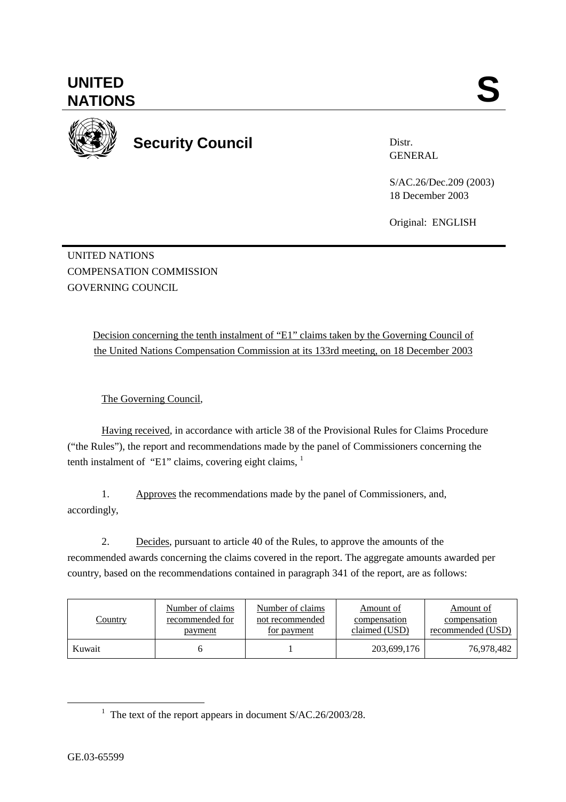**Security Council** 

Distr. GENERAL

S/AC.26/Dec.209 (2003) 18 December 2003

Original: ENGLISH

UNITED NATIONS COMPENSATION COMMISSION GOVERNING COUNCIL

> Decision concerning the tenth instalment of "E1" claims taken by the Governing Council of the United Nations Compensation Commission at its 133rd meeting, on 18 December 2003

The Governing Council,

Having received, in accordance with article 38 of the Provisional Rules for Claims Procedure ("the Rules"), the report and recommendations made by the panel of Commissioners concerning the tenth instalment of "E1" claims, covering eight claims,  $1$ 

1. Approves the recommendations made by the panel of Commissioners, and, accordingly,

2. Decides, pursuant to article 40 of the Rules, to approve the amounts of the recommended awards concerning the claims covered in the report. The aggregate amounts awarded per country, based on the recommendations contained in paragraph 341 of the report, are as follows:

| <b>Country</b> | Number of claims | Number of claims | Amount of     | Amount of         |
|----------------|------------------|------------------|---------------|-------------------|
|                | recommended for  | not recommended  | compensation  | compensation      |
|                | payment          | for payment      | claimed (USD) | recommended (USD) |
| Kuwait         |                  |                  | 203,699,176   | 76,978,482        |

<sup>&</sup>lt;u>1</u>  $1$  The text of the report appears in document S/AC.26/2003/28.